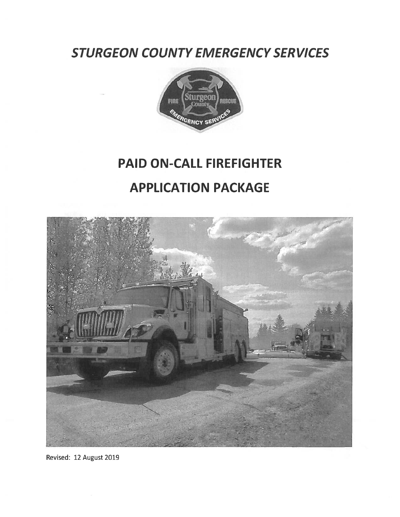STURGEON COUNTY EMERGENCY SERVICES



# PAID ON-CALL FIREFIGHTER APPLICATION PACKAGE



Revised: 12 August 2019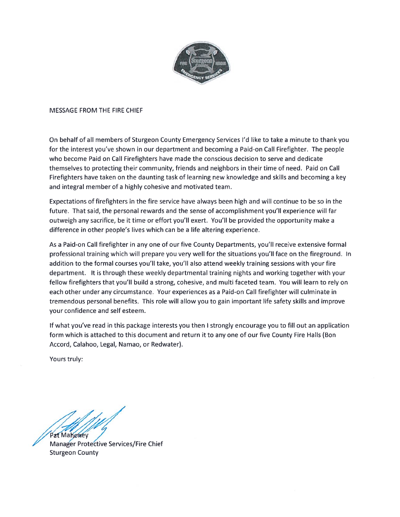

#### MESSAGE FROM THE FIRE CHIEF

On behalf of all members of Sturgeon County Emergency Services I'd like to take <sup>a</sup> minute to thank you for the interest you've shown in our department and becoming <sup>a</sup> Paid-on Call Firefighter. The people who become Paid on Call Firefighters have made the conscious decision to serve and dedicate themselves to protecting their community, friends and neighbors in their time of need. Paid on Call Firefighters have taken on the daunting task of learning new knowledge and skills and becoming <sup>a</sup> key and integral member of <sup>a</sup> highly cohesive and motivated team.

Expectations of firefighters in the fire service have always been high and will continue to be so in the future. That said, the personal rewards and the sense of accomplishment you'll experience will far outweigh any sacrifice, be it time or effort you'll exert. You'll be provided the opportunity make <sup>a</sup> difference in other people's lives which can be <sup>a</sup> life altering experience.

As a Paid-on Call firefighter in any one of our five County Departments, you'll receive extensive formal professional training which will prepare you very well for the situations you'll face on the fireground. In addition to the formal courses you'll take, you'll also attend weekly training sessions with your fire department. It is through these weekly departmental training nights and working together with your fellow firefighters that you'll build <sup>a</sup> strong, cohesive, and multi faceted team. You will learn to rely on each other under any circumstance. Your experiences as <sup>a</sup> Paid-on Call firefighter will culminate in tremendous personal benefits. This role will allow you to gain important life safety skills and improve your confidence and self esteem.

If what you've read in this package interests you then I strongly encourage you to fill out an application form which is attached to this document and return it to any one of our five County Fire Halls (Bon Accord, Calahoo, Legal, Namao, or Redwater).

Yours truly:

Pat Mahoney

Services/Fire Chief Sturgeon County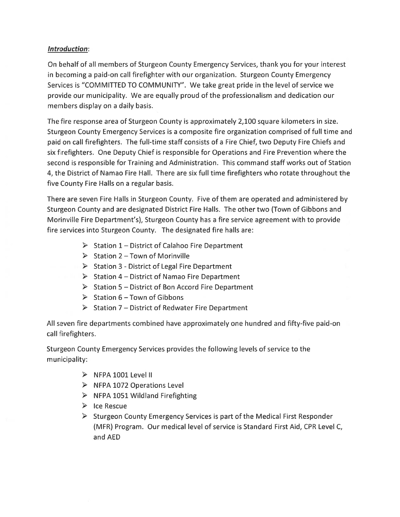#### Introduction:

On behalf of all members of Sturgeon County Emergency Services, thank you for your interest in becoming <sup>a</sup> paid-on call firefighter with our organization. Sturgeon County Emergency Services is "COMMITTED TO COMMUNITY". We take grea<sup>t</sup> pride in the level of service we provide our municipality. We are equally proud of the professionalism and dedication our members display on <sup>a</sup> daily basis.

The fire response area of Sturgeon County is approximately 2,100 square kilometers in size. Sturgeon County Emergency Services is <sup>a</sup> composite fire organization comprised of full time and paid on call firefighters. The full-time staff consists of <sup>a</sup> Fire Chief, two Deputy Fire Chiefs and six firefighters. One Deputy Chief is responsible for Operations and Fire Prevention where the second is responsible for Training and Administration. This command staff works out of Station 4, the District of Namao Fire Hall. There are six full time firefighters who rotate throughout the five County Fire Halls on <sup>a</sup> regular basis.

There are seven Fire Halls in Sturgeon County. Five of them are operated and administered by Sturgeon County and are designated District Fire Halls. The other two (Town of Gibbons and Morinville Fire Department's), Sturgeon County has <sup>a</sup> fire service agreemen<sup>t</sup> with to provide fire services into Sturgeon County. The designated fire halls are:

- $\triangleright$  Station 1 District of Calahoo Fire Department
- $\triangleright$  Station 2 Town of Morinville
- $\triangleright$  Station 3 District of Legal Fire Department
- $\triangleright$  Station 4 District of Namao Fire Department
- $\triangleright$  Station 5 District of Bon Accord Fire Department
- $\triangleright$  Station 6 Town of Gibbons
- $\triangleright$  Station 7 District of Redwater Fire Department

All seven fire departments combined have approximately one hundred and fifty-five paid-on call firefighters.

Sturgeon County Emergency Services provides the following levels of service to the municipality:

- $\triangleright$  NFPA 1001 Level II
- $\triangleright$  NFPA 1072 Operations Level
- $\triangleright$  NFPA 1051 Wildland Firefighting
- $\triangleright$  Ice Rescue
- $\triangleright$  Sturgeon County Emergency Services is part of the Medical First Responder (MFR) Program. Our medical level of service is Standard First Aid, CPR Level C, and AED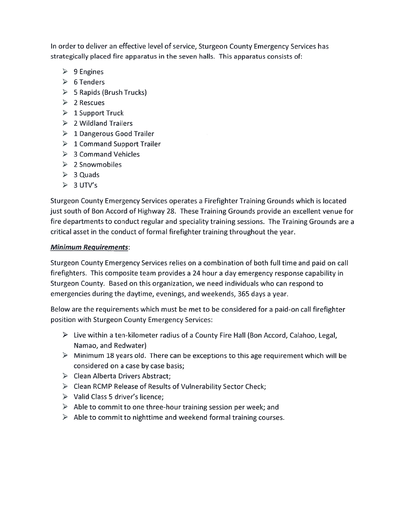In order to deliver an effective level of service, Sturgeon County Emergency Services has strategically placed fire apparatus in the seven halls. This apparatus consists of:

- 9 Engines
- $\triangleright$  6 Tenders
- 5 Rapids (Brush Trucks)
- $\triangleright$  2 Rescues
- $\blacktriangleright$   $\;$  1 Support Truck
- $\triangleright$  2 Wildland Trailers
- $\triangleright$   $\,$   $\,1$  Dangerous Good Trailer
- $\triangleright$  1 Command Support Trailer
- 3 Command Vehicles
- 2 Snowmobiles
- > 3 Quads
- $\triangleright$  3 UTV's

Sturgeon County Emergency Services operates <sup>a</sup> Firefighter Training Grounds which is located just south of Bon Accord of Highway 28. These Training Grounds provide an excellent venue for fire departments to conduct regular and speciality training sessions. The Training Grounds are <sup>a</sup> critical asset in the conduct of tormal firefighter training throughout the year.

#### <u>Minimum Requirements</u>:

Sturgeon County Emergency Services relies on <sup>a</sup> combination of both full time and paid on call firefighters. This composite team provides <sup>a</sup> 24 hour <sup>a</sup> day emergency response capability in Sturgeon County. Based on this organization, we need individuals who can respond to emergencies during the daytime, evenings, and weekends, 365 days <sup>a</sup> year.

Below are the requirements which must be met to be considered for <sup>a</sup> paid-on call firefighter position with Sturgeon County Emergency Services:

- $\triangleright$   $\;$  Live within a ten-kilometer radius of a County Fire Hall (Bon Accord, Calahoo, Legal, Namao, and Redwater)
- Minimum 18 years old. There can be exceptions to this age requirement which will be considered on <sup>a</sup> case by case basis;
- Clean Alberta Drivers Abstract;
- Clean RCMP Release of Results of Vulnerability Sector Check;
- > Valid Class 5 driver's licence;
- $\triangleright$   $\,$  Able to commit to one three-hour training session per week; and
- Able to commit to nighttime and weekend formal training courses.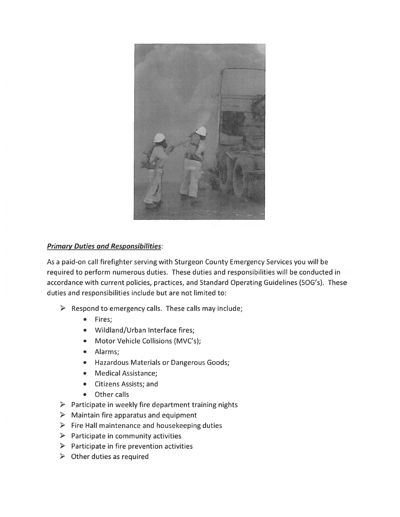

### **Primary Duties and Responsibilities:**

As <sup>a</sup> paid-on call firefighter serving with Sturgeon County Emergency Services you will be required to perform numerous duties. These duties and responsibilities will be conducted in accordance with current policies, practices, and Standard Operating Guidelines (SOG's). These duties and responsibilities include but are not limited to:

- $\triangleright$  Respond to emergency calls. These calls may include;
	- •Fires;
	- Wildland/Urban Interface fires;
	- Motor Vehicle Collisions (MVC's);
	- Alarms;
	- •Hazardous Materials or Dangerous Goods;
	- Medical Assistance;
	- •Citizens Assists; and
	- •Other calls
- $\triangleright$  Participate in weekly fire department training nights
- $\triangleright$  Maintain fire apparatus and equipment
- $\triangleright$  Fire Hall maintenance and housekeeping duties
- $\triangleright$  Participate in community activities
- $\triangleright$  Participate in fire prevention activities
- $\triangleright$  Other duties as required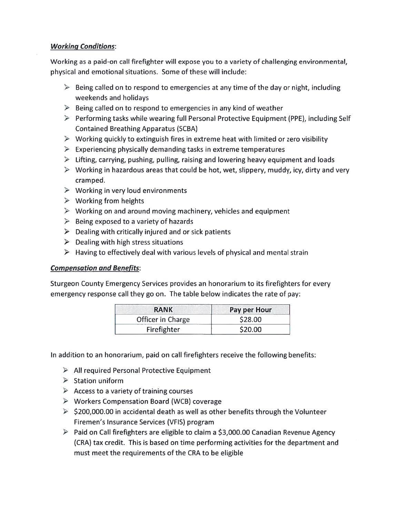#### Working Conditions:

Working as <sup>a</sup> paid-on call firefighter will expose you to <sup>a</sup> variety of challenging environmental, physical and emotional situations. Some of these will include:

- $\triangleright$  Being called on to respond to emergencies at any time of the day or night, including weekends and holidays
- $\triangleright$  Being called on to respond to emergencies in any kind of weather
- $\triangleright$  Performing tasks while wearing full Personal Protective Equipment (PPE), including Self Contained Breathing Apparatus (SCBA)
- $\triangleright$  Working quickly to extinguish fires in extreme heat with limited or zero visibility
- $\triangleright$  Experiencing physically demanding tasks in extreme temperatures
- $\triangleright$  Lifting, carrying, pushing, pulling, raising and lowering heavy equipment and loads
- $\triangleright$  Working in hazardous areas that could be hot, wet, slippery, muddy, icy, dirty and very cramped.
- $\triangleright$  Working in very loud environments
- $\triangleright$  Working from heights
- $\triangleright$  Working on and around moving machinery, vehicles and equipment
- $\triangleright$  Being exposed to a variety of hazards
- $\triangleright$  Dealing with critically injured and or sick patients
- $\triangleright$  Dealing with high stress situations
- $\triangleright$  Having to effectively deal with various levels of physical and mental strair

### Compensation and Benefits:

Sturgeon County Emergency Services provides an honorarium to its firefighters for every emergency response call they go on. The table below indicates the rate of pay:

| <b>RANK</b>       | Pay per Hour |  |  |  |  |
|-------------------|--------------|--|--|--|--|
| Officer in Charge | \$28.00      |  |  |  |  |
| Firefighter       | \$20.00      |  |  |  |  |

In addition to an honorarium, paid on call firefighters receive the following benefits:

- All required Personal Protective Equipment
- Station uniform
- $\triangleright$  Access to a variety of training courses
- Workers Compensation Board (WCB) coverage
- $\triangleright$  \$200,000.00 in accidental death as well as other benefits through the Volunteer Firemen's Insurance Services (VFIS) program
- Paid on Call firefighters are eligible to claim <sup>a</sup> \$3,000.00 Canadian Revenue Agency (CRA) tax credit. This is based on time performing activities for the department and must meet the requirements of the CRA to be eligible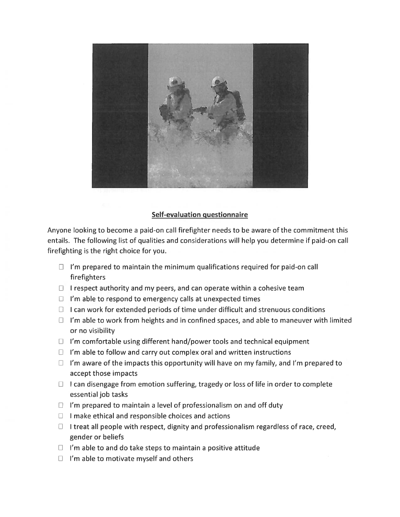

### Self-evaluation questionnaire

Anyone looking to become <sup>a</sup> paid-on call firefighter needs to be aware of the commitment this entails. The following list of qualities and considerations will help you determine if paid-on call firefighting is the right choice for you.

- $\Box$  I'm prepared to maintain the minimum qualifications required for paid-on call firefighters
- $\Box$  I respect authority and my peers, and can operate within a cohesive team
- $\Box$  I'm able to respond to emergency calls at unexpected times
- $\Box$  I can work for extended periods of time under difficult and strenuous conditions
- $\Box$  I'm able to work from heights and in confined spaces, and able to maneuver with limited or no visibility
- $\Box$  I'm comfortable using different hand/power tools and technical equipment
- $\Box$  I'm able to follow and carry out complex oral and written instructions
- $\Box$  I'm aware of the impacts this opportunity will have on my family, and I'm prepared to accep<sup>t</sup> those impacts
- $\Box$  I can disengage from emotion suffering, tragedy or loss of life in order to complete essential job tasks
- $\Box$  I'm prepared to maintain a level of professionalism on and off duty
- $\Box$  I make ethical and responsible choices and actions
- $\Box$  I treat all people with respect, dignity and professionalism regardless of race, creed, gender or beliefs
- $\Box$  I'm able to and do take steps to maintain a positive attitude
- $\Box$  I'm able to motivate myself and others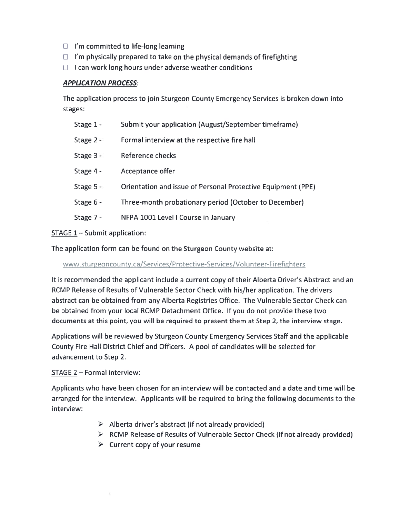- $\Box$  I'm committed to life-long learning
- $\Box$  I'm physically prepared to take on the physical demands of firefighting
- $\Box$  I can work long hours under adverse weather conditions

#### APPLICATION PROCESS:

The application process to join Sturgeon County Emergency Services is broken down into stages:

| Stage $1 -$ | Submit your application (August/September timeframe)         |
|-------------|--------------------------------------------------------------|
| Stage $2 -$ | Formal interview at the respective fire hall                 |
| Stage $3 -$ | Reference checks                                             |
| Stage 4 -   | Acceptance offer                                             |
| Stage $5 -$ | Orientation and issue of Personal Protective Equipment (PPE) |
| Stage 6 -   | Three-month probationary period (October to December)        |
| Stage 7 -   | NFPA 1001 Level I Course in January                          |

STAGE 1 – Submit application

The application form can be found on the Sturgeon County website at:

www.sturgeoncounty.ca/Services/Protective-Services/Volunteer-Firefighters

It is recommended the applicant include <sup>a</sup> current copy of their Alberta Driver's Abstract and an RCMP Release of Results of Vulnerable Sector Check with his/her application. The drivers abstract can be obtained from any Alberta Registries Office. The Vulnerable Sector Check can be obtained from your local RCMP Detachment Office. If you do not provide these two documents at this point, you will be required to presen<sup>t</sup> them at Step 2, the interview stage.

Applications will be reviewed by Sturgeon County Emergency Services Staff and the applicable County Fire Hall District Chief and Officers. A pool of candidates will be selected for advancement to Step 2.

#### STAGE 2 — Formal interview:

Applicants who have been chosen for an interview will be contacted and a date and time will be arranged for the interview. Applicants will be required to bring the following documents to the interview:

- Alberta driver's abstract (if not already provided)
- RCMP Release of Results of Vulnerable Sector Check (if not already provided)
- Current copy of your resume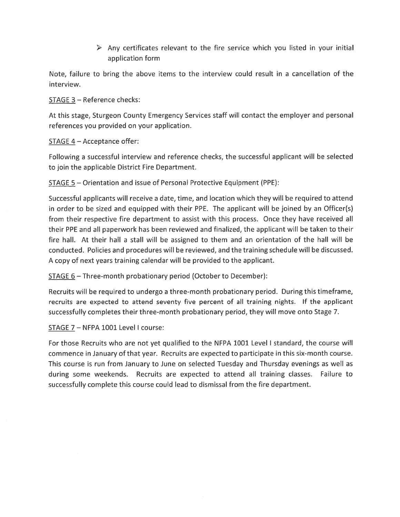$\triangleright$  Any certificates relevant to the fire service which you listed in your initial application form

Note, failure to bring the above items to the interview could result in <sup>a</sup> cancellation of the interview.

STAGE 3 — Reference checks:

At this stage, Sturgeon County Emergency Services staff will contact the employer and personal references you provided on your application.

STAGE 4 — Acceptance offer:

Following <sup>a</sup> successful interview and reference checks, the successful applicant will be selected to join the applicable District Fire Department.

STAGE 5 — Orientation and issue of Personal Protective Equipment (PPE):

Successful applicants will receive <sup>a</sup> date, time, and location which they will be required to attend in order to be sized and equipped with their PPE. The applicant will be joined by an Officer(s) from their respective fire department to assist with this process. Once they have received all their PPE and all paperwork has been reviewed and finalized, the applicant will be taken to their fire hail. At their hall <sup>a</sup> stall will be assigned to them and an orientation of the hall will be conducted. Policies and procedures will be reviewed, and the training schedule will be discussed. A copy of next years training calendar will be provided to the applicant.

STAGE 6 — Three-month probationary period (October to December):

Recruits will be required to undergo <sup>a</sup> three-month probationary period. During this timeframe, recruits are expected to attend seventy five percen<sup>t</sup> of all training nights. If the applicant successfully completes their three-month probationary period, they will move onto Stage 7.

STAGE 7 — NEPA 1001 Level I course:

For those Recruits who are not ye<sup>t</sup> qualified to the NEPA 1001 Level I standard, the course will commence in January of that year. Recruits are expected to participate in this six-month course. This course is run from January to June on selected Tuesday and Thursday evenings as well as during some weekends. Recruits are expected to attend all training classes. Failure to successfully complete this course could lead to dismissal from the fire department.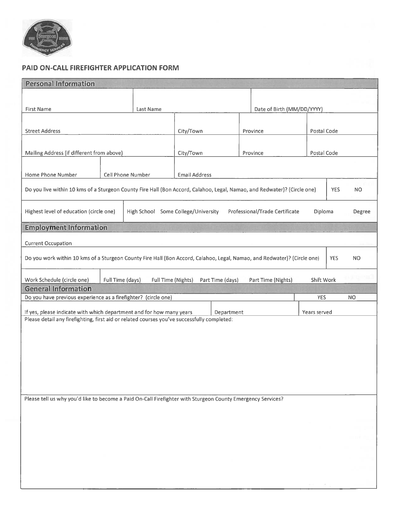

## PAID ON-CALL FIREFIGHTER APPLICATION FORM

| <b>Personal Information</b>                                                                                                                                                       |                   |                                     |                      |                  |  |                                |            |             |        |
|-----------------------------------------------------------------------------------------------------------------------------------------------------------------------------------|-------------------|-------------------------------------|----------------------|------------------|--|--------------------------------|------------|-------------|--------|
|                                                                                                                                                                                   |                   |                                     |                      |                  |  |                                |            |             |        |
| First Name                                                                                                                                                                        | Last Name         |                                     |                      |                  |  | Date of Birth (MM/DD/YYYY)     |            |             |        |
|                                                                                                                                                                                   |                   |                                     |                      |                  |  |                                |            |             |        |
|                                                                                                                                                                                   |                   |                                     |                      |                  |  |                                |            |             |        |
| <b>Street Address</b>                                                                                                                                                             |                   |                                     | City/Town            |                  |  | Province                       |            | Postal Code |        |
|                                                                                                                                                                                   |                   |                                     |                      |                  |  |                                |            |             |        |
| Mailing Address (if different from above)                                                                                                                                         |                   |                                     | City/Town            |                  |  | Province<br>Postal Code        |            |             |        |
|                                                                                                                                                                                   |                   |                                     |                      |                  |  |                                |            |             |        |
| Home Phone Number                                                                                                                                                                 | Cell Phone Number |                                     | <b>Email Address</b> |                  |  |                                |            |             |        |
| Do you live within 10 kms of a Sturgeon County Fire Hall (Bon Accord, Calahoo, Legal, Namao, and Redwater)? (Circle one)<br><b>YES</b><br><b>NO</b>                               |                   |                                     |                      |                  |  |                                |            |             |        |
| Highest level of education (circle one)                                                                                                                                           |                   | High School Some College/University |                      |                  |  | Professional/Trade Certificate | Diploma    |             | Degree |
| <b>Employment Information</b>                                                                                                                                                     |                   |                                     |                      |                  |  |                                |            |             |        |
|                                                                                                                                                                                   |                   |                                     |                      |                  |  |                                |            |             |        |
| <b>Current Occupation</b>                                                                                                                                                         |                   |                                     |                      |                  |  |                                |            |             |        |
| Do you work within 10 kms of a Sturgeon County Fire Hall (Bon Accord, Calahoo, Legal, Namao, and Redwater)? (Circle one)<br><b>YES</b><br>NO.                                     |                   |                                     |                      |                  |  |                                |            |             |        |
|                                                                                                                                                                                   |                   |                                     |                      |                  |  |                                |            |             |        |
| Work Schedule (circle one)<br><b>General Information</b>                                                                                                                          | Full Time (days)  | Full Time (Nights)                  |                      | Part Time (days) |  | Part Time (Nights)             | Shift Work |             |        |
| Do you have previous experience as a firefighter? (circle one)                                                                                                                    |                   |                                     |                      |                  |  |                                | <b>YES</b> |             | NO.    |
|                                                                                                                                                                                   |                   |                                     |                      |                  |  |                                |            |             |        |
| If yes, please indicate with which department and for how many years<br>Department<br>Please detail any firefighting, first aid or related courses you've successfully completed: |                   |                                     |                      |                  |  | Years served                   |            |             |        |
|                                                                                                                                                                                   |                   |                                     |                      |                  |  |                                |            |             |        |
|                                                                                                                                                                                   |                   |                                     |                      |                  |  |                                |            |             |        |
|                                                                                                                                                                                   |                   |                                     |                      |                  |  |                                |            |             |        |
|                                                                                                                                                                                   |                   |                                     |                      |                  |  |                                |            |             |        |
|                                                                                                                                                                                   |                   |                                     |                      |                  |  |                                |            |             |        |
|                                                                                                                                                                                   |                   |                                     |                      |                  |  |                                |            |             |        |
|                                                                                                                                                                                   |                   |                                     |                      |                  |  |                                |            |             |        |
| Please tell us why you'd like to become a Paid On-Call Firefighter with Sturgeon County Emergency Services?                                                                       |                   |                                     |                      |                  |  |                                |            |             |        |
|                                                                                                                                                                                   |                   |                                     |                      |                  |  |                                |            |             |        |
|                                                                                                                                                                                   |                   |                                     |                      |                  |  |                                |            |             |        |
|                                                                                                                                                                                   |                   |                                     |                      |                  |  |                                |            |             |        |
|                                                                                                                                                                                   |                   |                                     |                      |                  |  |                                |            |             |        |
|                                                                                                                                                                                   |                   |                                     |                      |                  |  |                                |            |             |        |
|                                                                                                                                                                                   |                   |                                     |                      |                  |  |                                |            |             |        |
|                                                                                                                                                                                   |                   |                                     |                      |                  |  |                                |            |             |        |
|                                                                                                                                                                                   |                   |                                     |                      |                  |  |                                |            |             |        |
|                                                                                                                                                                                   |                   |                                     |                      |                  |  |                                |            |             |        |